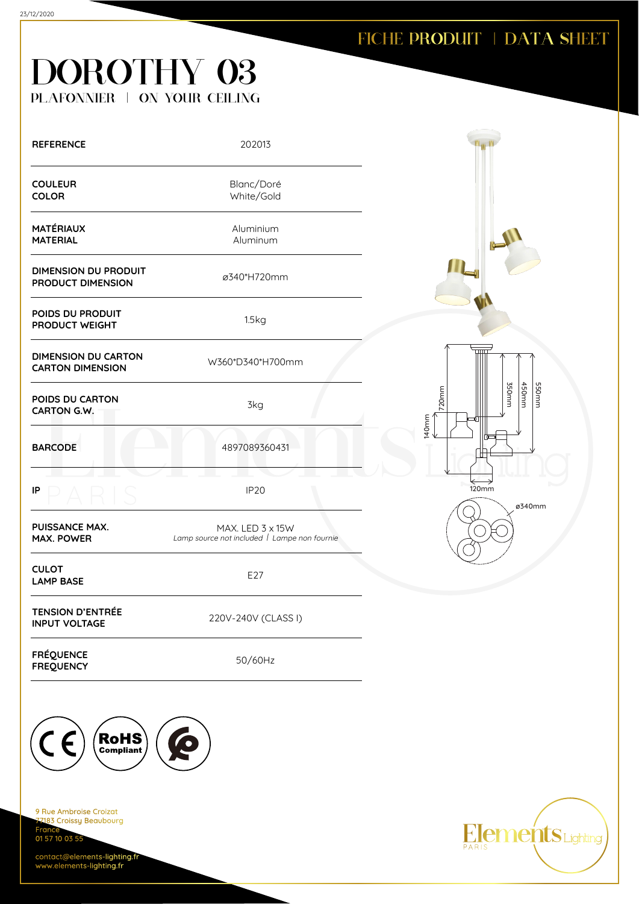#### FICHE PRODUIT | DATA SHEET

# DOROTHY 03 PLAFONNIER | ON YOUR CEILING

| <b>REFERENCE</b>                                      | 202013                                                           |                                              |
|-------------------------------------------------------|------------------------------------------------------------------|----------------------------------------------|
| <b>COULEUR</b><br><b>COLOR</b>                        | Blanc/Doré<br>White/Gold                                         |                                              |
| <b>MATÉRIAUX</b><br><b>MATERIAL</b>                   | Aluminium<br>Aluminum                                            |                                              |
| <b>DIMENSION DU PRODUIT</b><br>PRODUCT DIMENSION      | ø340*H720mm                                                      |                                              |
| POIDS DU PRODUIT<br>PRODUCT WEIGHT                    | 1.5kg                                                            |                                              |
| <b>DIMENSION DU CARTON</b><br><b>CARTON DIMENSION</b> | W360*D340*H700mm                                                 |                                              |
| POIDS DU CARTON<br>CARTON G.W.                        | 3kg                                                              | mm052<br>450mm<br>mm055<br>720mm<br>$140$ mm |
| <b>BARCODE</b>                                        | 4897089360431                                                    |                                              |
| IP                                                    | IP <sub>20</sub>                                                 | 120mm<br>ø340mm                              |
| <b>PUISSANCE MAX.</b><br><b>MAX. POWER</b>            | MAX. LED 3 x 15W<br>Lamp source not included   Lampe non fournie |                                              |
| <b>CULOT</b><br><b>LAMP BASE</b>                      | E27                                                              |                                              |
| <b>TENSION D'ENTRÉE</b><br><b>INPUT VOLTAGE</b>       | 220V-240V (CLASS I)                                              |                                              |
| <b>FRÉQUENCE</b><br><b>FREQUENCY</b>                  | 50/60Hz                                                          |                                              |
|                                                       |                                                                  |                                              |



9 Rue Ambroise Croizat nes Almerana<br><mark>183 Croissy Beaubourg</mark> Fran 01 57 10 03 55

contact@elements-lighting.fr www.elements-lighting.fr

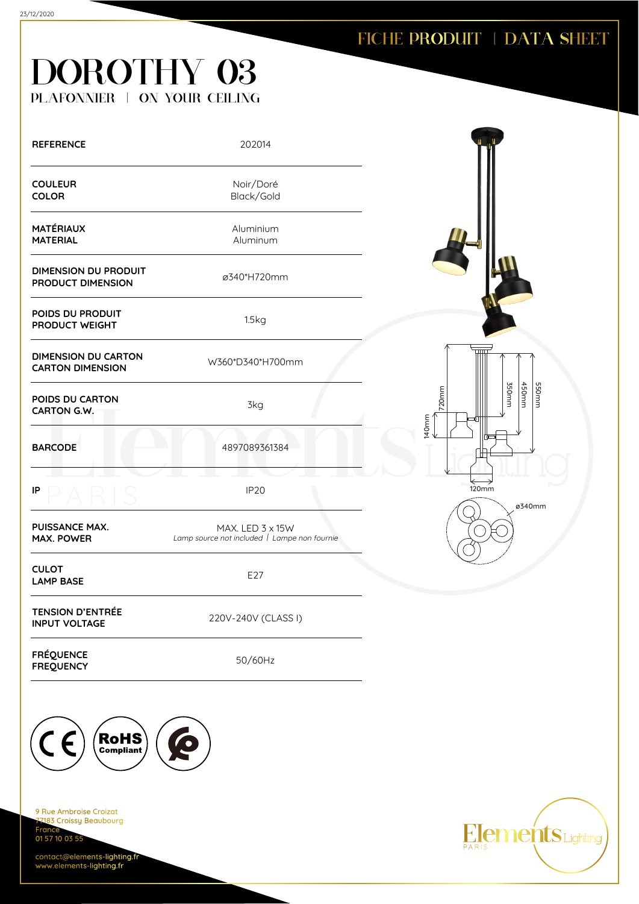#### FICHE PRODUIT | DATA SHEET

# DOROTHY 03 PLAFONNIER | ON YOUR CEILING

| <b>REFERENCE</b>                                      | 202014                                                           |                   |
|-------------------------------------------------------|------------------------------------------------------------------|-------------------|
| <b>COULEUR</b><br><b>COLOR</b>                        | Noir/Doré<br>Black/Gold                                          |                   |
| <b>MATÉRIAUX</b><br><b>MATERIAL</b>                   | Aluminium<br>Aluminum                                            |                   |
| <b>DIMENSION DU PRODUIT</b><br>PRODUCT DIMENSION      | ø340*H720mm                                                      |                   |
| POIDS DU PRODUIT<br>PRODUCT WEIGHT                    | 1.5kg                                                            |                   |
| <b>DIMENSION DU CARTON</b><br><b>CARTON DIMENSION</b> | W360*D340*H700mm                                                 |                   |
| POIDS DU CARTON<br><b>CARTON G.W.</b>                 | 3kg                                                              | 720 <sub>mm</sub> |
| <b>BARCODE</b>                                        | 4897089361384                                                    | 140mm             |
| IP                                                    | <b>IP20</b>                                                      | <b>120mm</b>      |
| <b>PUISSANCE MAX.</b><br><b>MAX. POWER</b>            | MAX. LED 3 x 15W<br>Lamp source not included   Lampe non fournie |                   |
| <b>CULOT</b><br><b>LAMP BASE</b>                      | E27                                                              |                   |
| <b>TENSION D'ENTRÉE</b><br><b>INPUT VOLTAGE</b>       | 220V-240V (CLASS I)                                              |                   |
| <b>FRÉQUENCE</b><br><b>FREQUENCY</b>                  | 50/60Hz                                                          |                   |



9 Rue Ambroise Croizat 183 Croissy Beaubourg Fran 01 57 10 03 55

contact@elements-lighting.fr www.elements-lighting.fr



ø340mm

350mm 450mm 550mm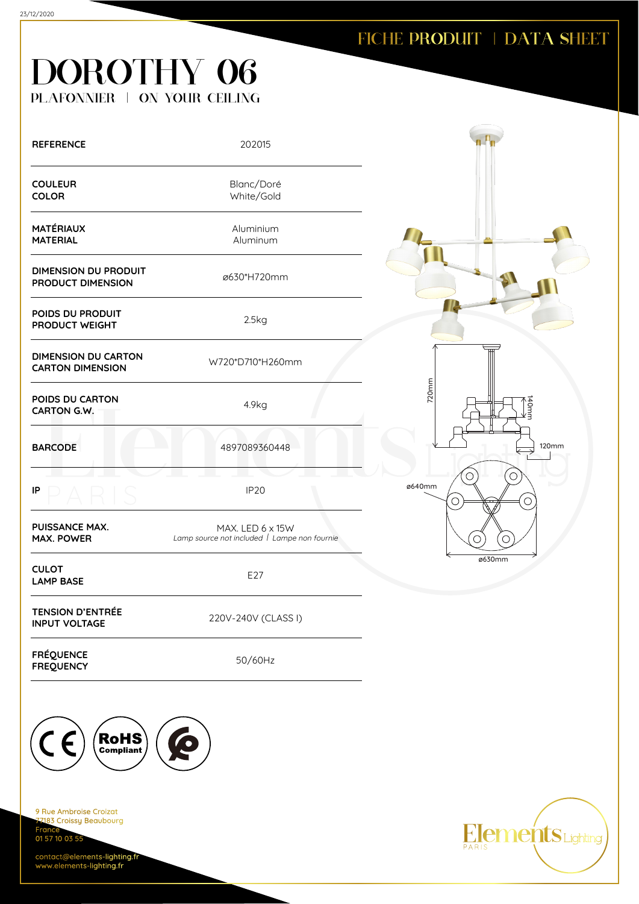# DOROTHY 06 PLAFONNIER | ON YOUR CEILING

| <b>REFERENCE</b>                                      | 202015                                                           |                           |
|-------------------------------------------------------|------------------------------------------------------------------|---------------------------|
| <b>COULEUR</b><br><b>COLOR</b>                        | Blanc/Doré<br>White/Gold                                         |                           |
| <b>MATÉRIAUX</b><br><b>MATERIAL</b>                   | Aluminium<br>Aluminum                                            |                           |
| <b>DIMENSION DU PRODUIT</b><br>PRODUCT DIMENSION      | ø630*H720mm                                                      |                           |
| POIDS DU PRODUIT<br>PRODUCT WEIGHT                    | 2.5kg                                                            |                           |
| <b>DIMENSION DU CARTON</b><br><b>CARTON DIMENSION</b> | W720*D710*H260mm                                                 |                           |
| POIDS DU CARTON<br>CARTON G.W.                        | 4.9kg                                                            | 720mm<br>140mm<br>E`      |
| <b>BARCODE</b>                                        | 4897089360448                                                    | 120mm                     |
| IP                                                    | IP <sub>20</sub>                                                 | O<br>ø640mm<br>$\bigcirc$ |
| <b>PUISSANCE MAX.</b><br><b>MAX. POWER</b>            | MAX. LED 6 x 15W<br>Lamp source not included   Lampe non fournie |                           |
| <b>CULOT</b><br><b>LAMP BASE</b>                      | E27                                                              | ø630mm                    |
| <b>TENSION D'ENTRÉE</b><br><b>INPUT VOLTAGE</b>       | 220V-240V (CLASS I)                                              |                           |
| <b>FRÉQUENCE</b><br><b>FREQUENCY</b>                  | 50/60Hz                                                          |                           |



9 Rue Ambroise Croizat nes Almerana<br><mark>183 Croissy Beaubourg</mark> Fran 01 57 10 03 55

contact@elements-lighting.fr www.elements-lighting.fr